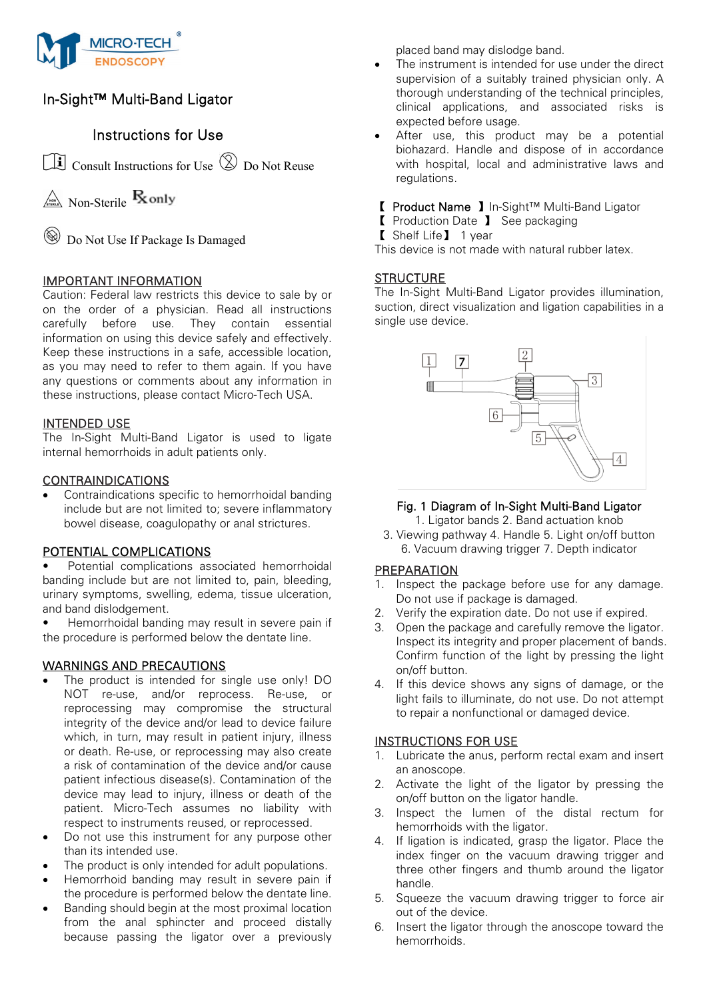

# In-Sight™ Multi-Band Ligator

## Instructions for Use

Consult Instructions for Use Do Not Reuse

 $\mathbb{R}$  Non-Sterile **R**only

Do Not Use If Package Is Damaged

## IMPORTANT INFORMATION

Caution: Federal law restricts this device to sale by or on the order of a physician. Read all instructions carefully before use. They contain essential information on using this device safely and effectively. Keep these instructions in a safe, accessible location, as you may need to refer to them again. If you have any questions or comments about any information in these instructions, please contact Micro-Tech USA.

## INTENDED USE

The In-Sight Multi-Band Ligator is used to ligate internal hemorrhoids in adult patients only.

## **CONTRAINDICATIONS**

Contraindications specific to hemorrhoidal banding include but are not limited to; severe inflammatory bowel disease, coagulopathy or anal strictures.

## POTENTIAL COMPLICATIONS

Potential complications associated hemorrhoidal banding include but are not limited to, pain, bleeding, urinary symptoms, swelling, edema, tissue ulceration, and band dislodgement.

• Hemorrhoidal banding may result in severe pain if the procedure is performed below the dentate line.

## WARNINGS AND PRECAUTIONS

- The product is intended for single use only! DO NOT re-use, and/or reprocess. Re-use, or reprocessing may compromise the structural integrity of the device and/or lead to device failure which, in turn, may result in patient injury, illness or death. Re-use, or reprocessing may also create a risk of contamination of the device and/or cause patient infectious disease(s). Contamination of the device may lead to injury, illness or death of the patient. Micro-Tech assumes no liability with respect to instruments reused, or reprocessed.
- Do not use this instrument for any purpose other than its intended use.
- The product is only intended for adult populations.
- Hemorrhoid banding may result in severe pain if the procedure is performed below the dentate line.
- Banding should begin at the most proximal location from the anal sphincter and proceed distally because passing the ligator over a previously

placed band may dislodge band.

- The instrument is intended for use under the direct supervision of a suitably trained physician only. A thorough understanding of the technical principles, clinical applications, and associated risks is expected before usage.
- After use, this product may be a potential biohazard. Handle and dispose of in accordance with hospital, local and administrative laws and regulations.
- 【 Product Name 】In-Sight™ Multi-Band Ligator
- 【 Production Date 】 See packaging
- 【 Shelf Life】 1 year

This device is not made with natural rubber latex.

## **STRUCTURE**

The In-Sight Multi-Band Ligator provides illumination, suction, direct visualization and ligation capabilities in a single use device.



## Fig. 1 Diagram of In-Sight Multi-Band Ligator

- 1. Ligator bands 2. Band actuation knob
- 3. Viewing pathway 4. Handle 5. Light on/off button 6. Vacuum drawing trigger 7. Depth indicator

#### PREPARATION

- 1. Inspect the package before use for any damage. Do not use if package is damaged.
- 2. Verify the expiration date. Do not use if expired.
- 3. Open the package and carefully remove the ligator. Inspect its integrity and proper placement of bands. Confirm function of the light by pressing the light on/off button.
- 4. If this device shows any signs of damage, or the light fails to illuminate, do not use. Do not attempt to repair a nonfunctional or damaged device.

#### INSTRUCTIONS FOR USE

- 1. Lubricate the anus, perform rectal exam and insert an anoscope.
- 2. Activate the light of the ligator by pressing the on/off button on the ligator handle.
- 3. Inspect the lumen of the distal rectum for hemorrhoids with the ligator.
- 4. If ligation is indicated, grasp the ligator. Place the index finger on the vacuum drawing trigger and three other fingers and thumb around the ligator handle.
- 5. Squeeze the vacuum drawing trigger to force air out of the device.
- 6. Insert the ligator through the anoscope toward the hemorrhoids.